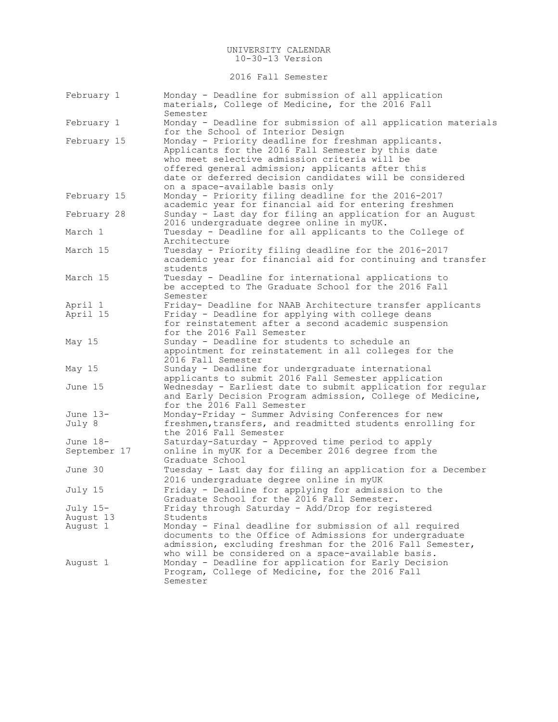2016 Fall Semester

| February 1   | Monday - Deadline for submission of all application<br>materials, College of Medicine, for the 2016 Fall<br>Semester |
|--------------|----------------------------------------------------------------------------------------------------------------------|
|              | Monday - Deadline for submission of all application materials                                                        |
| February 1   | for the School of Interior Design                                                                                    |
| February 15  | Monday - Priority deadline for freshman applicants.                                                                  |
|              | Applicants for the 2016 Fall Semester by this date                                                                   |
|              | who meet selective admission criteria will be                                                                        |
|              | offered general admission; applicants after this                                                                     |
|              | date or deferred decision candidates will be considered                                                              |
|              | on a space-available basis only                                                                                      |
| February 15  | Monday - Priority filing deadline for the 2016-2017                                                                  |
|              | academic year for financial aid for entering freshmen                                                                |
| February 28  | Sunday - Last day for filing an application for an August                                                            |
|              | 2016 undergraduate degree online in myUK.                                                                            |
| March 1      | Tuesday - Deadline for all applicants to the College of                                                              |
|              | Architecture                                                                                                         |
| March 15     | Tuesday - Priority filing deadline for the 2016-2017                                                                 |
|              | academic year for financial aid for continuing and transfer                                                          |
|              | students                                                                                                             |
| March 15     | Tuesday - Deadline for international applications to                                                                 |
|              | be accepted to The Graduate School for the 2016 Fall                                                                 |
|              | Semester                                                                                                             |
| April 1      | Friday- Deadline for NAAB Architecture transfer applicants                                                           |
| April 15     | Friday - Deadline for applying with college deans                                                                    |
|              | for reinstatement after a second academic suspension                                                                 |
|              | for the 2016 Fall Semester                                                                                           |
| May 15       | Sunday - Deadline for students to schedule an                                                                        |
|              | appointment for reinstatement in all colleges for the                                                                |
|              | 2016 Fall Semester                                                                                                   |
| May 15       | Sunday - Deadline for undergraduate international                                                                    |
|              | applicants to submit 2016 Fall Semester application                                                                  |
| June 15      | Wednesday - Earliest date to submit application for regular                                                          |
|              | and Early Decision Program admission, College of Medicine,<br>for the 2016 Fall Semester                             |
| June $13-$   | Monday-Friday - Summer Advising Conferences for new                                                                  |
| July 8       | freshmen, transfers, and readmitted students enrolling for                                                           |
|              | the 2016 Fall Semester                                                                                               |
| June 18-     | Saturday-Saturday - Approved time period to apply                                                                    |
| September 17 | online in myUK for a December 2016 degree from the                                                                   |
|              | Graduate School                                                                                                      |
| June 30      | Tuesday - Last day for filing an application for a December                                                          |
|              | 2016 undergraduate degree online in myUK                                                                             |
| July 15      | Friday - Deadline for applying for admission to the                                                                  |
|              | Graduate School for the 2016 Fall Semester.                                                                          |
| July 15-     | Friday through Saturday - Add/Drop for registered                                                                    |
| August 13    | Students                                                                                                             |
| August 1     | Monday - Final deadline for submission of all required                                                               |
|              | documents to the Office of Admissions for undergraduate                                                              |
|              | admission, excluding freshman for the 2016 Fall Semester,                                                            |
|              | who will be considered on a space-available basis.                                                                   |
| August 1     | Monday - Deadline for application for Early Decision                                                                 |
|              | Program, College of Medicine, for the 2016 Fall                                                                      |
|              | Semester                                                                                                             |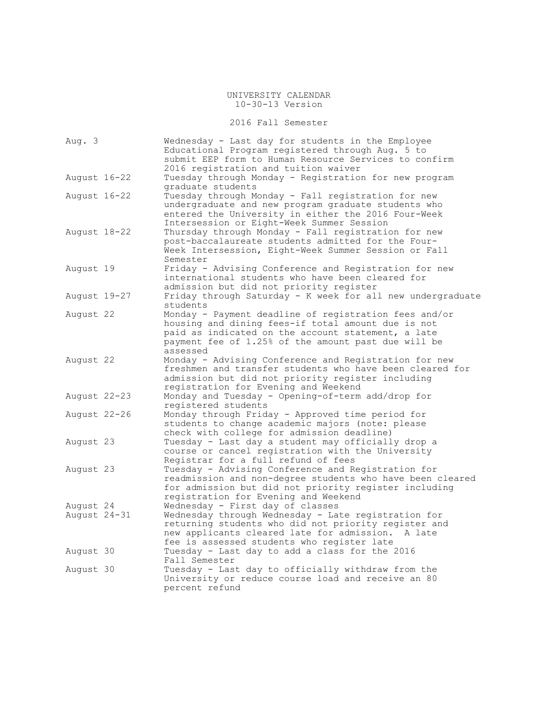2016 Fall Semester

| Aug. 3                    | Wednesday - Last day for students in the Employee<br>Educational Program registered through Aug. 5 to<br>submit EEP form to Human Resource Services to confirm<br>2016 registration and tuition waiver                                                |
|---------------------------|-------------------------------------------------------------------------------------------------------------------------------------------------------------------------------------------------------------------------------------------------------|
| August 16-22              | Tuesday through Monday - Registration for new program<br>graduate students                                                                                                                                                                            |
| August 16-22              | Tuesday through Monday - Fall registration for new<br>undergraduate and new program graduate students who<br>entered the University in either the 2016 Four-Week<br>Intersession or Eight-Week Summer Session                                         |
| August 18-22              | Thursday through Monday - Fall registration for new<br>post-baccalaureate students admitted for the Four-<br>Week Intersession, Eight-Week Summer Session or Fall<br>Semester                                                                         |
| August 19                 | Friday - Advising Conference and Registration for new<br>international students who have been cleared for<br>admission but did not priority register                                                                                                  |
| August 19-27              | Friday through Saturday - K week for all new undergraduate<br>students                                                                                                                                                                                |
| August 22                 | Monday - Payment deadline of registration fees and/or<br>housing and dining fees-if total amount due is not<br>paid as indicated on the account statement, a late<br>payment fee of 1.25% of the amount past due will be<br>assessed                  |
| August 22                 | Monday - Advising Conference and Registration for new<br>freshmen and transfer students who have been cleared for<br>admission but did not priority register including<br>registration for Evening and Weekend                                        |
| August 22-23              | Monday and Tuesday - Opening-of-term add/drop for<br>registered students                                                                                                                                                                              |
| August 22-26              | Monday through Friday - Approved time period for<br>students to change academic majors (note: please<br>check with college for admission deadline)                                                                                                    |
| August 23                 | Tuesday - Last day a student may officially drop a<br>course or cancel registration with the University<br>Registrar for a full refund of fees                                                                                                        |
| August 23                 | Tuesday - Advising Conference and Registration for<br>readmission and non-degree students who have been cleared<br>for admission but did not priority register including<br>registration for Evening and Weekend                                      |
| August 24<br>August 24-31 | Wednesday - First day of classes<br>Wednesday through Wednesday - Late registration for<br>returning students who did not priority register and<br>new applicants cleared late for admission.<br>A late<br>fee is assessed students who register late |
| August 30                 | Tuesday - Last day to add a class for the 2016<br>Fall Semester                                                                                                                                                                                       |
| August 30                 | Tuesday - Last day to officially withdraw from the<br>University or reduce course load and receive an 80<br>percent refund                                                                                                                            |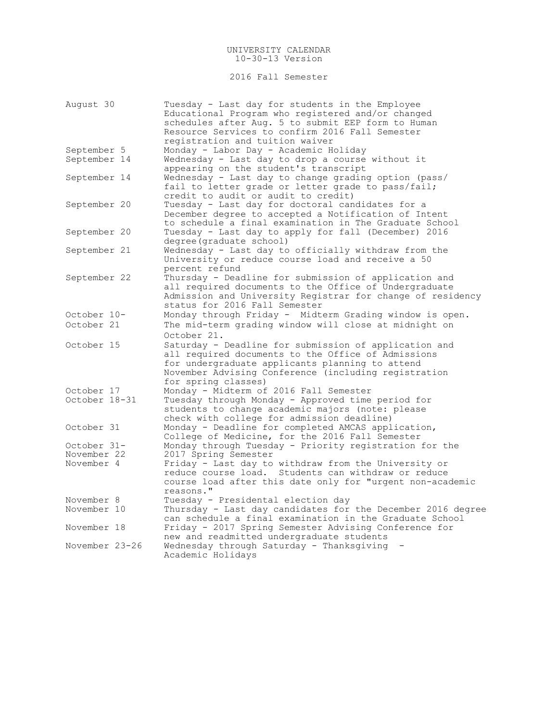2016 Fall Semester

| August 30                   | Tuesday - Last day for students in the Employee<br>Educational Program who registered and/or changed<br>schedules after Aug. 5 to submit EEP form to Human<br>Resource Services to confirm 2016 Fall Semester                                 |
|-----------------------------|-----------------------------------------------------------------------------------------------------------------------------------------------------------------------------------------------------------------------------------------------|
|                             | registration and tuition waiver                                                                                                                                                                                                               |
| September 5                 | Monday - Labor Day - Academic Holiday                                                                                                                                                                                                         |
| September 14                | Wednesday - Last day to drop a course without it<br>appearing on the student's transcript                                                                                                                                                     |
| September 14                | Wednesday - Last day to change grading option (pass/<br>fail to letter grade or letter grade to pass/fail;<br>credit to audit or audit to credit)                                                                                             |
| September 20                | Tuesday - Last day for doctoral candidates for a<br>December degree to accepted a Notification of Intent<br>to schedule a final examination in The Graduate School                                                                            |
| September 20                | Tuesday - Last day to apply for fall (December) 2016<br>degree(graduate school)                                                                                                                                                               |
| September 21                | Wednesday - Last day to officially withdraw from the<br>University or reduce course load and receive a 50<br>percent refund                                                                                                                   |
| September 22                | Thursday - Deadline for submission of application and<br>all required documents to the Office of Undergraduate<br>Admission and University Registrar for change of residency<br>status for 2016 Fall Semester                                 |
| October 10-                 | Monday through Friday - Midterm Grading window is open.                                                                                                                                                                                       |
| October 21                  | The mid-term grading window will close at midnight on<br>October 21.                                                                                                                                                                          |
| October 15                  | Saturday - Deadline for submission of application and<br>all required documents to the Office of Admissions<br>for undergraduate applicants planning to attend<br>November Advising Conference (including registration<br>for spring classes) |
| October 17<br>October 18-31 | Monday - Midterm of 2016 Fall Semester<br>Tuesday through Monday - Approved time period for<br>students to change academic majors (note: please<br>check with college for admission deadline)                                                 |
| October 31                  | Monday - Deadline for completed AMCAS application,<br>College of Medicine, for the 2016 Fall Semester                                                                                                                                         |
| October 31-                 | Monday through Tuesday - Priority registration for the                                                                                                                                                                                        |
| November 22                 | 2017 Spring Semester                                                                                                                                                                                                                          |
| November 4                  | Friday - Last day to withdraw from the University or<br>reduce course load. Students can withdraw or reduce<br>course load after this date only for "urgent non-academic<br>reasons."                                                         |
| November 8                  | Tuesday - Presidental election day                                                                                                                                                                                                            |
| November 10                 | Thursday - Last day candidates for the December 2016 degree<br>can schedule a final examination in the Graduate School                                                                                                                        |
| November 18                 | Friday - 2017 Spring Semester Advising Conference for<br>new and readmitted undergraduate students                                                                                                                                            |
| November 23-26              | Wednesday through Saturday - Thanksgiving<br>Academic Holidays                                                                                                                                                                                |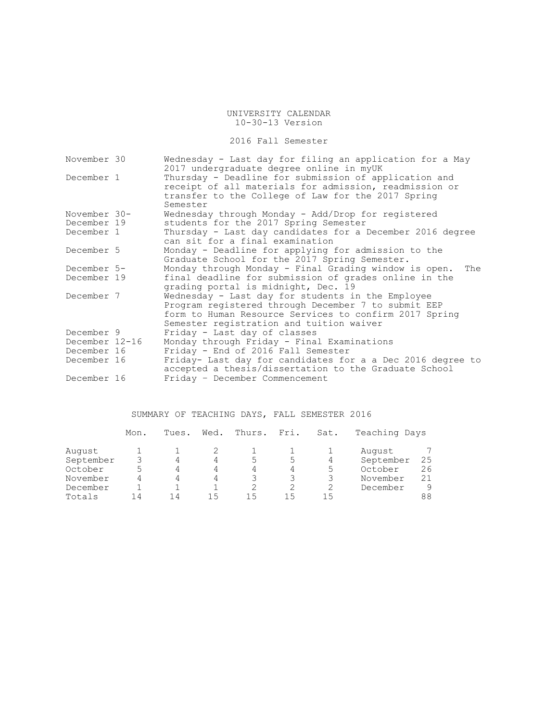# 2016 Fall Semester

| November 30    | Wednesday - Last day for filing an application for a May<br>2017 undergraduate degree online in myUK                                                                                                           |
|----------------|----------------------------------------------------------------------------------------------------------------------------------------------------------------------------------------------------------------|
| December 1     | Thursday - Deadline for submission of application and<br>receipt of all materials for admission, readmission or<br>transfer to the College of Law for the 2017 Spring<br>Semester                              |
| November 30-   | Wednesday through Monday - Add/Drop for registered                                                                                                                                                             |
| December 19    | students for the 2017 Spring Semester                                                                                                                                                                          |
| December 1     | Thursday - Last day candidates for a December 2016 degree<br>can sit for a final examination                                                                                                                   |
| December 5     | Monday - Deadline for applying for admission to the<br>Graduate School for the 2017 Spring Semester.                                                                                                           |
| December 5-    | Monday through Monday - Final Grading window is open.<br>The                                                                                                                                                   |
| December 19    | final deadline for submission of grades online in the<br>grading portal is midnight, Dec. 19                                                                                                                   |
| December 7     | Wednesday - Last day for students in the Employee<br>Program registered through December 7 to submit EEP<br>form to Human Resource Services to confirm 2017 Spring<br>Semester registration and tuition waiver |
| December 9     | Friday - Last day of classes                                                                                                                                                                                   |
| December 12-16 | Monday through Friday - Final Examinations                                                                                                                                                                     |
| December 16    | Friday - End of 2016 Fall Semester                                                                                                                                                                             |
| December 16    | Friday- Last day for candidates for a a Dec 2016 degree to<br>accepted a thesis/dissertation to the Graduate School                                                                                            |
| December 16    | Friday - December Commencement                                                                                                                                                                                 |

# SUMMARY OF TEACHING DAYS, FALL SEMESTER 2016

|           | Mon. | Tues. | Wed. | Thurs. | Fri. | Sat. | Teaching Days |    |
|-----------|------|-------|------|--------|------|------|---------------|----|
| August    |      |       |      |        |      |      | August        |    |
| September |      |       | 4    | 5      | 5    | 4    | September     | 25 |
| October   |      |       | 4    | 4      |      | 5    | October       | 26 |
| November  |      |       | 4    |        |      |      | November      | 21 |
| December  |      |       |      |        |      |      | December      | 9  |
| Totals    | 14   | 14    | ר ו  | 15     | 15   | 15   |               | 88 |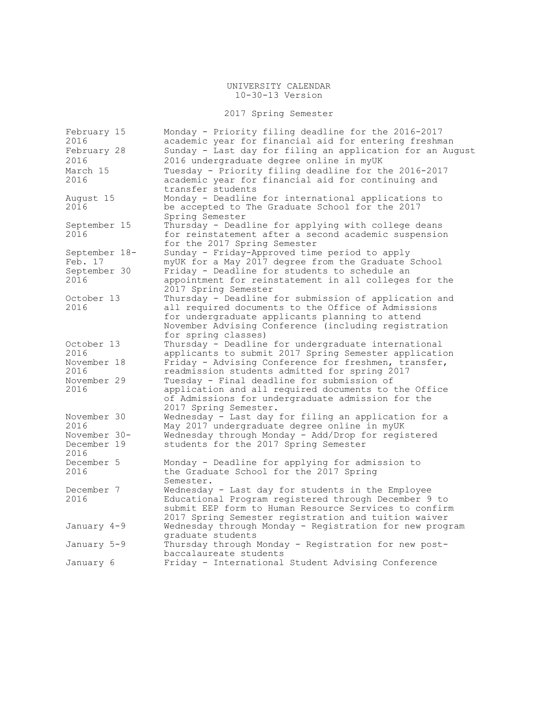# 2017 Spring Semester

| February 15<br>2016 | Monday - Priority filing deadline for the 2016-2017<br>academic year for financial aid for entering freshman |
|---------------------|--------------------------------------------------------------------------------------------------------------|
| February 28         | Sunday - Last day for filing an application for an August                                                    |
| 2016                | 2016 undergraduate degree online in myUK                                                                     |
| March 15            | Tuesday - Priority filing deadline for the 2016-2017                                                         |
| 2016                | academic year for financial aid for continuing and<br>transfer students                                      |
| August 15           | Monday - Deadline for international applications to                                                          |
| 2016                | be accepted to The Graduate School for the 2017                                                              |
|                     | Spring Semester                                                                                              |
| September 15        | Thursday - Deadline for applying with college deans                                                          |
| 2016                | for reinstatement after a second academic suspension                                                         |
|                     | for the 2017 Spring Semester                                                                                 |
| September 18-       | Sunday - Friday-Approved time period to apply                                                                |
| Feb. 17             | myUK for a May 2017 degree from the Graduate School                                                          |
| September 30        | Friday - Deadline for students to schedule an                                                                |
| 2016                | appointment for reinstatement in all colleges for the                                                        |
|                     | 2017 Spring Semester                                                                                         |
| October 13          | Thursday - Deadline for submission of application and                                                        |
| 2016                | all required documents to the Office of Admissions                                                           |
|                     | for undergraduate applicants planning to attend                                                              |
|                     | November Advising Conference (including registration                                                         |
|                     | for spring classes)                                                                                          |
| October 13          | Thursday - Deadline for undergraduate international                                                          |
| 2016                | applicants to submit 2017 Spring Semester application                                                        |
| November 18         | Friday - Advising Conference for freshmen, transfer,                                                         |
| 2016                | readmission students admitted for spring 2017                                                                |
| November 29         | Tuesday - Final deadline for submission of                                                                   |
| 2016                | application and all required documents to the Office                                                         |
|                     | of Admissions for undergraduate admission for the                                                            |
|                     | 2017 Spring Semester.                                                                                        |
| November 30         | Wednesday - Last day for filing an application for a                                                         |
| 2016                | May 2017 undergraduate degree online in myUK                                                                 |
| November 30-        | Wednesday through Monday - Add/Drop for registered                                                           |
| December 19         | students for the 2017 Spring Semester                                                                        |
| 2016                |                                                                                                              |
| December 5          | Monday - Deadline for applying for admission to                                                              |
| 2016                | the Graduate School for the 2017 Spring                                                                      |
|                     | Semester.                                                                                                    |
| December 7          | Wednesday - Last day for students in the Employee                                                            |
| 2016                | Educational Program registered through December 9 to                                                         |
|                     | submit EEP form to Human Resource Services to confirm                                                        |
|                     | 2017 Spring Semester registration and tuition waiver                                                         |
| January 4-9         | Wednesday through Monday - Registration for new program                                                      |
|                     | graduate students                                                                                            |
| January 5-9         | Thursday through Monday - Registration for new post-                                                         |
|                     | baccalaureate students                                                                                       |
| January 6           | Friday - International Student Advising Conference                                                           |
|                     |                                                                                                              |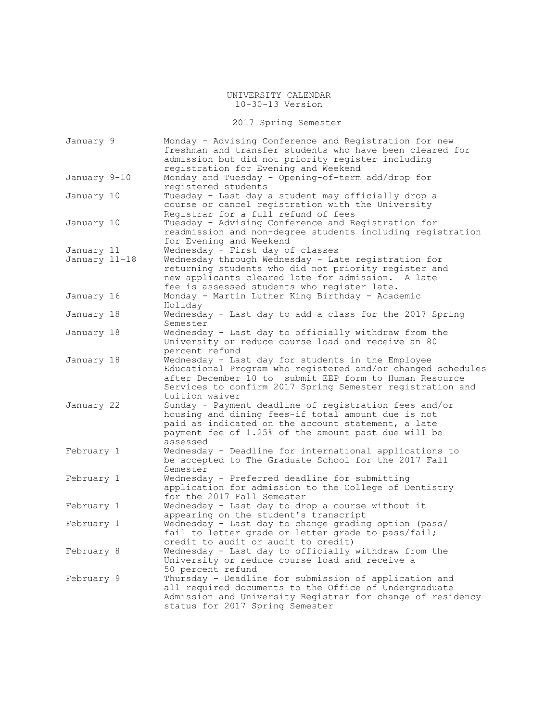2017 Spring Semester

| January 9     | Monday - Advising Conference and Registration for new<br>freshman and transfer students who have been cleared for<br>admission but did not priority register including<br>registration for Evening and Weekend                             |
|---------------|--------------------------------------------------------------------------------------------------------------------------------------------------------------------------------------------------------------------------------------------|
| January 9-10  | Monday and Tuesday - Opening-of-term add/drop for<br>registered students                                                                                                                                                                   |
| January 10    | Tuesday - Last day a student may officially drop a<br>course or cancel registration with the University<br>Registrar for a full refund of fees                                                                                             |
| January 10    | Tuesday - Advising Conference and Registration for<br>readmission and non-degree students including registration<br>for Evening and Weekend                                                                                                |
| January 11    | Wednesday - First day of classes                                                                                                                                                                                                           |
| January 11–18 | Wednesday through Wednesday - Late registration for<br>returning students who did not priority register and<br>new applicants cleared late for admission. A late<br>fee is assessed students who register late.                            |
| January 16    | Monday - Martin Luther King Birthday - Academic<br>Holiday                                                                                                                                                                                 |
| January 18    | Wednesday - Last day to add a class for the 2017 Spring<br>Semester                                                                                                                                                                        |
| January 18    | Wednesday - Last day to officially withdraw from the<br>University or reduce course load and receive an 80<br>percent refund                                                                                                               |
| January 18    | Wednesday - Last day for students in the Employee<br>Educational Program who registered and/or changed schedules<br>after December 10 to submit EEP form to Human Resource<br>Services to confirm 2017 Spring Semester registration and    |
| January 22    | tuition waiver<br>Sunday - Payment deadline of registration fees and/or<br>housing and dining fees-if total amount due is not<br>paid as indicated on the account statement, a late<br>payment fee of 1.25% of the amount past due will be |
| February 1    | assessed<br>Wednesday - Deadline for international applications to<br>be accepted to The Graduate School for the 2017 Fall<br>Semester                                                                                                     |
| February 1    | Wednesday - Preferred deadline for submitting<br>application for admission to the College of Dentistry<br>for the 2017 Fall Semester                                                                                                       |
| February 1    | Wednesday - Last day to drop a course without it<br>appearing on the student's transcript                                                                                                                                                  |
| February 1    | Wednesday - Last day to change grading option (pass/<br>fail to letter grade or letter grade to pass/fail;<br>credit to audit or audit to credit)                                                                                          |
| February 8    | Wednesday - Last day to officially withdraw from the<br>University or reduce course load and receive a<br>50 percent refund                                                                                                                |
| February 9    | Thursday - Deadline for submission of application and<br>all required documents to the Office of Undergraduate<br>Admission and University Registrar for change of residency<br>status for 2017 Spring Semester                            |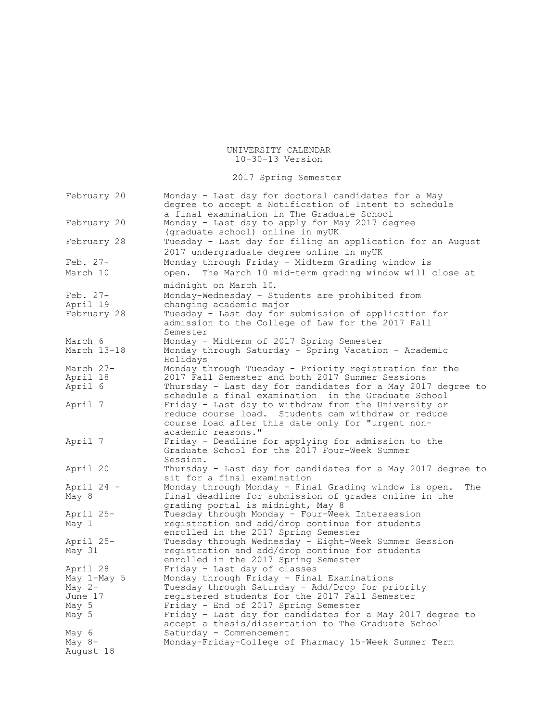2017 Spring Semester

| February 20            | Monday - Last day for doctoral candidates for a May<br>degree to accept a Notification of Intent to schedule<br>a final examination in The Graduate School |
|------------------------|------------------------------------------------------------------------------------------------------------------------------------------------------------|
| February 20            | Monday - Last day to apply for May 2017 degree<br>(graduate school) online in myUK                                                                         |
| February 28            | Tuesday - Last day for filing an application for an August<br>2017 undergraduate degree online in myUK                                                     |
| Feb. $27-$             | Monday through Friday - Midterm Grading window is                                                                                                          |
| March 10               | The March 10 mid-term grading window will close at<br>open.                                                                                                |
|                        | midnight on March 10.                                                                                                                                      |
| Feb. $27-$<br>April 19 | Monday-Wednesday - Students are prohibited from<br>changing academic major                                                                                 |
| February 28            | Tuesday - Last day for submission of application for<br>admission to the College of Law for the 2017 Fall<br>Semester                                      |
| March 6                | Monday - Midterm of 2017 Spring Semester                                                                                                                   |
| March 13-18            | Monday through Saturday - Spring Vacation - Academic<br>Holidays                                                                                           |
| March 27-              | Monday through Tuesday - Priority registration for the                                                                                                     |
| April 18               | 2017 Fall Semester and both 2017 Summer Sessions                                                                                                           |
| April 6                | Thursday - Last day for candidates for a May 2017 degree to<br>schedule a final examination in the Graduate School                                         |
| April 7                | Friday - Last day to withdraw from the University or                                                                                                       |
|                        | reduce course load. Students cam withdraw or reduce                                                                                                        |
|                        | course load after this date only for "urgent non-                                                                                                          |
|                        | academic reasons."                                                                                                                                         |
| April 7                | Friday - Deadline for applying for admission to the                                                                                                        |
|                        | Graduate School for the 2017 Four-Week Summer                                                                                                              |
|                        | Session.                                                                                                                                                   |
| April 20               | Thursday - Last day for candidates for a May 2017 degree to                                                                                                |
|                        | sit for a final examination                                                                                                                                |
| April 24 -             | Monday through Monday - Final Grading window is open.<br>The                                                                                               |
| May 8                  | final deadline for submission of grades online in the                                                                                                      |
|                        | grading portal is midnight, May 8                                                                                                                          |
| April 25-              | Tuesday through Monday - Four-Week Intersession                                                                                                            |
| May 1                  | registration and add/drop continue for students                                                                                                            |
|                        | enrolled in the 2017 Spring Semester                                                                                                                       |
| April 25-              | Tuesday through Wednesday - Eight-Week Summer Session                                                                                                      |
| May 31                 | registration and add/drop continue for students                                                                                                            |
|                        | enrolled in the 2017 Spring Semester                                                                                                                       |
| April 28               | Friday - Last day of classes                                                                                                                               |
| May 1-May 5            | Monday through Friday - Final Examinations                                                                                                                 |
| May $2-$               | Tuesday through Saturday - Add/Drop for priority                                                                                                           |
| June 17                | registered students for the 2017 Fall Semester                                                                                                             |
| May 5                  | Friday - End of 2017 Spring Semester                                                                                                                       |
| May 5                  | Friday - Last day for candidates for a May 2017 degree to                                                                                                  |
|                        | accept a thesis/dissertation to The Graduate School                                                                                                        |
| May 6                  | Saturday - Commencement                                                                                                                                    |
| May $8-$               | Monday-Friday-College of Pharmacy 15-Week Summer Term                                                                                                      |
| August 18              |                                                                                                                                                            |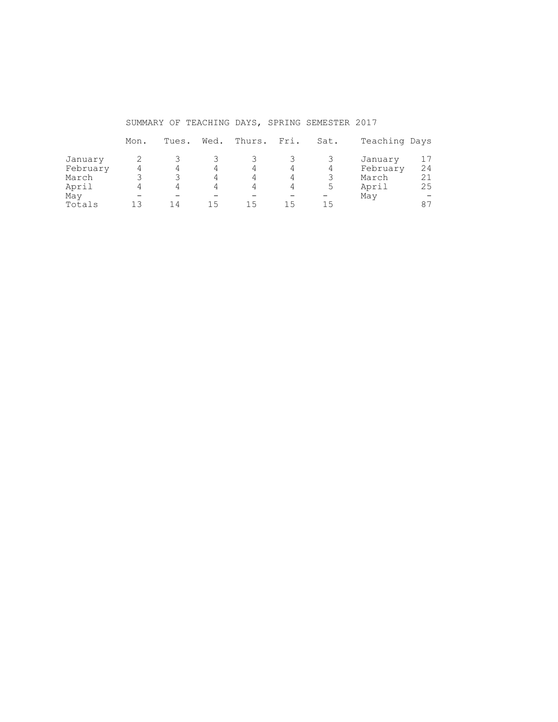SUMMARY OF TEACHING DAYS, SPRING SEMESTER 2017

|          | Mon. | Tues. | Wed. | Thurs. | Fri. | Sat. | Teaching Days |    |
|----------|------|-------|------|--------|------|------|---------------|----|
| January  |      |       |      |        |      |      | January       |    |
| February |      | 4     | 4    | 4      |      | 4    | February      | 24 |
| March    |      |       | 4    | 4      | 4    |      | March         | 21 |
| April    |      | 4     | 4    |        |      | 5    | April         | 25 |
| May      |      |       |      |        |      |      | May           |    |
| Totals   | 1 ว  | 14    | 15   | 15     | 15   | 15   |               | 87 |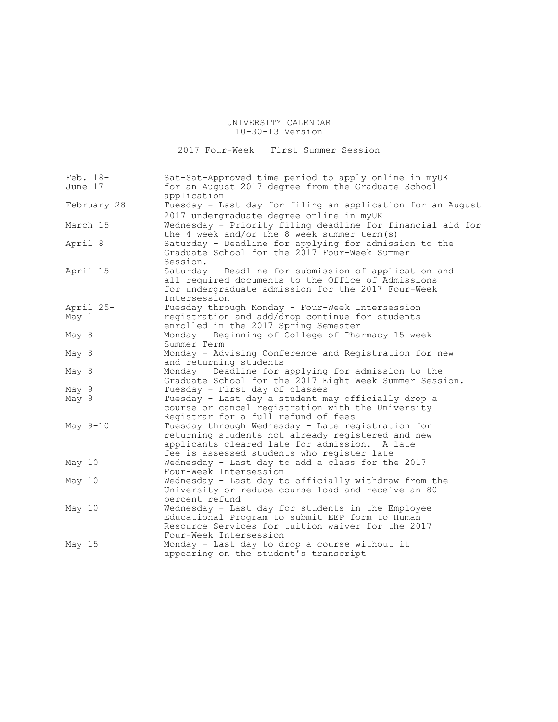2017 Four-Week – First Summer Session

| Feb. 18-<br>June 17 | Sat-Sat-Approved time period to apply online in myUK<br>for an August 2017 degree from the Graduate School                                                                                            |
|---------------------|-------------------------------------------------------------------------------------------------------------------------------------------------------------------------------------------------------|
|                     | application                                                                                                                                                                                           |
| February 28         | Tuesday - Last day for filing an application for an August                                                                                                                                            |
|                     | 2017 undergraduate degree online in myUK                                                                                                                                                              |
| March 15            | Wednesday - Priority filing deadline for financial aid for<br>the 4 week and/or the 8 week summer term(s)                                                                                             |
| April 8             | Saturday - Deadline for applying for admission to the<br>Graduate School for the 2017 Four-Week Summer<br>Session.                                                                                    |
| April 15            | Saturday - Deadline for submission of application and<br>all required documents to the Office of Admissions<br>for undergraduate admission for the 2017 Four-Week<br>Intersession                     |
| April 25-           | Tuesday through Monday - Four-Week Intersession                                                                                                                                                       |
| May 1               | registration and add/drop continue for students<br>enrolled in the 2017 Spring Semester                                                                                                               |
| May 8               | Monday - Beginning of College of Pharmacy 15-week<br>Summer Term                                                                                                                                      |
| May 8               | Monday - Advising Conference and Registration for new<br>and returning students                                                                                                                       |
| May 8               | Monday - Deadline for applying for admission to the<br>Graduate School for the 2017 Eight Week Summer Session.                                                                                        |
| May 9               | Tuesday - First day of classes                                                                                                                                                                        |
| May 9               | Tuesday - Last day a student may officially drop a<br>course or cancel registration with the University<br>Registrar for a full refund of fees                                                        |
| May 9-10            | Tuesday through Wednesday - Late registration for<br>returning students not already registered and new<br>applicants cleared late for admission. A late<br>fee is assessed students who register late |
| May 10              | Wednesday - Last day to add a class for the 2017<br>Four-Week Intersession                                                                                                                            |
| May 10              | Wednesday - Last day to officially withdraw from the<br>University or reduce course load and receive an 80<br>percent refund                                                                          |
| May 10              | Wednesday - Last day for students in the Employee<br>Educational Program to submit EEP form to Human<br>Resource Services for tuition waiver for the 2017<br>Four-Week Intersession                   |
| May 15              | Monday - Last day to drop a course without it<br>appearing on the student's transcript                                                                                                                |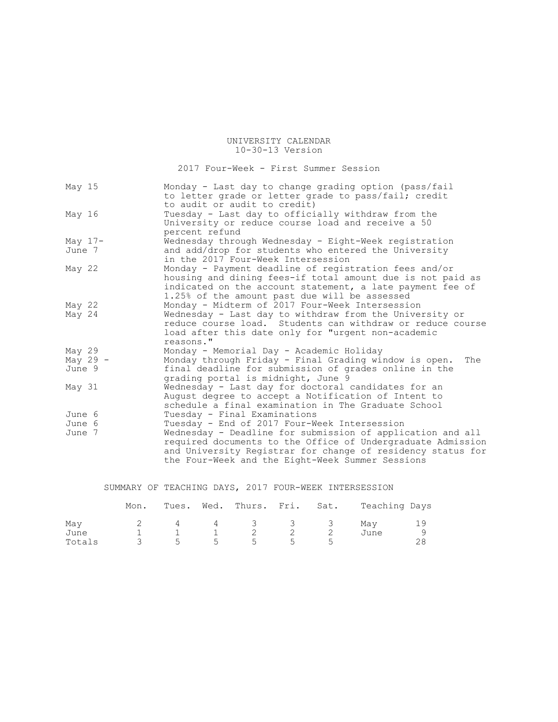# 2017 Four-Week - First Summer Session

| May 15     | Monday - Last day to change grading option (pass/fail<br>to letter grade or letter grade to pass/fail; credit<br>to audit or audit to credit)                                                                                                |
|------------|----------------------------------------------------------------------------------------------------------------------------------------------------------------------------------------------------------------------------------------------|
| May 16     | Tuesday - Last day to officially withdraw from the<br>University or reduce course load and receive a 50<br>percent refund                                                                                                                    |
| May $17-$  | Wednesday through Wednesday - Eight-Week registration                                                                                                                                                                                        |
| June 7     | and add/drop for students who entered the University<br>in the 2017 Four-Week Intersession                                                                                                                                                   |
| May $22$   | Monday - Payment deadline of registration fees and/or<br>housing and dining fees-if total amount due is not paid as<br>indicated on the account statement, a late payment fee of<br>1.25% of the amount past due will be assessed            |
| May 22     | Monday - Midterm of 2017 Four-Week Intersession                                                                                                                                                                                              |
| May 24     | Wednesday - Last day to withdraw from the University or<br>reduce course load. Students can withdraw or reduce course<br>load after this date only for "urgent non-academic<br>reasons."                                                     |
| May 29     | Monday - Memorial Day - Academic Holiday                                                                                                                                                                                                     |
| May 29 $-$ | Monday through Friday - Final Grading window is open.<br>The                                                                                                                                                                                 |
| June 9     | final deadline for submission of grades online in the<br>grading portal is midnight, June 9                                                                                                                                                  |
| May 31     | Wednesday - Last day for doctoral candidates for an<br>August degree to accept a Notification of Intent to<br>schedule a final examination in The Graduate School                                                                            |
| June 6     | Tuesday - Final Examinations                                                                                                                                                                                                                 |
| June 6     | Tuesday - End of 2017 Four-Week Intersession                                                                                                                                                                                                 |
| June 7     | Wednesday - Deadline for submission of application and all<br>required documents to the Office of Undergraduate Admission<br>and University Registrar for change of residency status for<br>the Four-Week and the Eight-Week Summer Sessions |

# SUMMARY OF TEACHING DAYS, 2017 FOUR-WEEK INTERSESSION

|                | Mon. |     |            | Tues. Wed. Thurs. Fri. Sat. |       |      | Teaching Days |    |
|----------------|------|-----|------------|-----------------------------|-------|------|---------------|----|
| May            |      | 4   | $4\degree$ |                             |       | 3333 | Mav           | 19 |
| June<br>Totals |      | - 5 | 5          | 5                           | $5 -$ |      | June          |    |
|                |      |     |            |                             |       |      |               |    |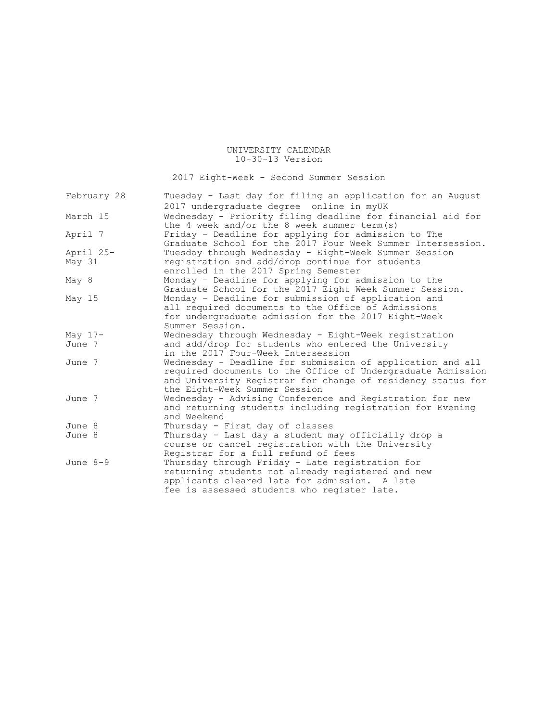2017 Eight-Week - Second Summer Session

| February 28 | Tuesday - Last day for filing an application for an August  |
|-------------|-------------------------------------------------------------|
|             | 2017 undergraduate degree online in myUK                    |
| March 15    | Wednesday - Priority filing deadline for financial aid for  |
|             | the 4 week and/or the 8 week summer term(s)                 |
| April 7     | Friday - Deadline for applying for admission to The         |
|             | Graduate School for the 2017 Four Week Summer Intersession. |
| April 25-   | Tuesday through Wednesday - Eight-Week Summer Session       |
| May 31      | registration and add/drop continue for students             |
|             | enrolled in the 2017 Spring Semester                        |
| May 8       | Monday - Deadline for applying for admission to the         |
|             | Graduate School for the 2017 Eight Week Summer Session.     |
| May $15$    | Monday - Deadline for submission of application and         |
|             | all required documents to the Office of Admissions          |
|             | for undergraduate admission for the 2017 Eight-Week         |
|             | Summer Session.                                             |
| May $17-$   | Wednesday through Wednesday - Eight-Week registration       |
| June 7      | and add/drop for students who entered the University        |
|             | in the 2017 Four-Week Intersession                          |
| June 7      | Wednesday - Deadline for submission of application and all  |
|             | required documents to the Office of Undergraduate Admission |
|             | and University Registrar for change of residency status for |
|             | the Eight-Week Summer Session                               |
| June 7      | Wednesday - Advising Conference and Registration for new    |
|             | and returning students including registration for Evening   |
|             | and Weekend                                                 |
| June 8      | Thursday - First day of classes                             |
| June 8      | Thursday - Last day a student may officially drop a         |
|             | course or cancel registration with the University           |
|             | Registrar for a full refund of fees                         |
| June $8-9$  | Thursday through Friday - Late registration for             |
|             | returning students not already registered and new           |
|             | applicants cleared late for admission. A late               |
|             | fee is assessed students who register late.                 |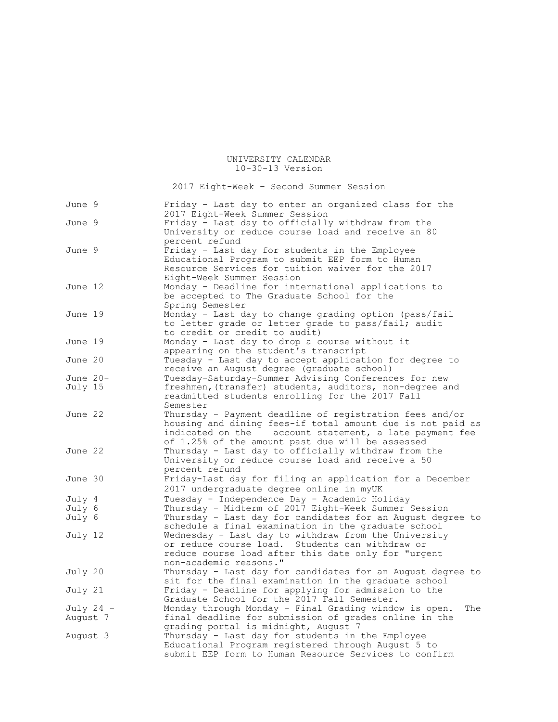2017 Eight-Week – Second Summer Session

| June 9           |           | Friday - Last day to enter an organized class for the<br>2017 Eight-Week Summer Session                     |
|------------------|-----------|-------------------------------------------------------------------------------------------------------------|
| June 9           |           | Friday - Last day to officially withdraw from the<br>University or reduce course load and receive an 80     |
|                  |           | percent refund                                                                                              |
| June 9           |           | Friday - Last day for students in the Employee<br>Educational Program to submit EEP form to Human           |
|                  |           | Resource Services for tuition waiver for the 2017                                                           |
|                  |           | Eight-Week Summer Session                                                                                   |
| June 12          |           | Monday - Deadline for international applications to                                                         |
|                  |           | be accepted to The Graduate School for the                                                                  |
|                  |           | Spring Semester                                                                                             |
| June 19          |           | Monday - Last day to change grading option (pass/fail                                                       |
|                  |           | to letter grade or letter grade to pass/fail; audit                                                         |
| June 19          |           | to credit or credit to audit)<br>Monday - Last day to drop a course without it                              |
|                  |           | appearing on the student's transcript                                                                       |
| June 20          |           | Tuesday - Last day to accept application for degree to                                                      |
|                  |           | receive an August degree (graduate school)                                                                  |
| June $20-$       |           | Tuesday-Saturday-Summer Advising Conferences for new                                                        |
| July 15          |           | freshmen, (transfer) students, auditors, non-degree and                                                     |
|                  |           | readmitted students enrolling for the 2017 Fall                                                             |
| June 22          |           | Semester<br>Thursday - Payment deadline of registration fees and/or                                         |
|                  |           | housing and dining fees-if total amount due is not paid as                                                  |
|                  |           | account statement, a late payment fee<br>indicated on the                                                   |
|                  |           | of 1.25% of the amount past due will be assessed                                                            |
| June 22          |           | Thursday - Last day to officially withdraw from the                                                         |
|                  |           | University or reduce course load and receive a 50                                                           |
|                  |           | percent refund                                                                                              |
| June 30          |           | Friday-Last day for filing an application for a December                                                    |
|                  |           | 2017 undergraduate degree online in myUK                                                                    |
| July 4           |           | Tuesday - Independence Day - Academic Holiday<br>Thursday - Midterm of 2017 Eight-Week Summer Session       |
| July 6<br>July 6 |           | Thursday - Last day for candidates for an August degree to                                                  |
|                  |           | schedule a final examination in the graduate school                                                         |
| July 12          |           | Wednesday - Last day to withdraw from the University                                                        |
|                  |           | or reduce course load. Students can withdraw or                                                             |
|                  |           | reduce course load after this date only for "urgent                                                         |
|                  |           | non-academic reasons."                                                                                      |
| July 20          |           | Thursday - Last day for candidates for an August degree to                                                  |
|                  |           | sit for the final examination in the graduate school<br>Friday - Deadline for applying for admission to the |
| July 21          |           | Graduate School for the 2017 Fall Semester.                                                                 |
|                  | July 24 - | Monday through Monday - Final Grading window is open.<br>The                                                |
| August 7         |           | final deadline for submission of grades online in the                                                       |
|                  |           | grading portal is midnight, August 7                                                                        |
| August 3         |           | Thursday - Last day for students in the Employee                                                            |
|                  |           | Educational Program registered through August 5 to                                                          |
|                  |           | submit EEP form to Human Resource Services to confirm                                                       |